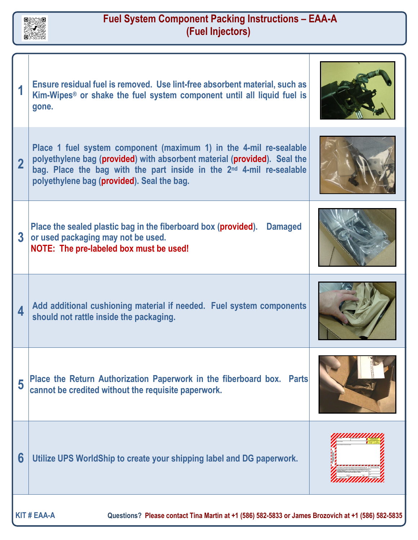

## **Fuel System Component Packing Instructions – EAA-A (Fuel Injectors)**

|                                                                                                                          | Ensure residual fuel is removed. Use lint-free absorbent material, such as<br>Kim-Wipes <sup>®</sup> or shake the fuel system component until all liquid fuel is<br>gone.                                                                                                        |  |
|--------------------------------------------------------------------------------------------------------------------------|----------------------------------------------------------------------------------------------------------------------------------------------------------------------------------------------------------------------------------------------------------------------------------|--|
|                                                                                                                          | Place 1 fuel system component (maximum 1) in the 4-mil re-sealable<br>polyethylene bag (provided) with absorbent material (provided). Seal the<br>bag. Place the bag with the part inside in the 2 <sup>nd</sup> 4-mil re-sealable<br>polyethylene bag (provided). Seal the bag. |  |
| $\overline{3}$                                                                                                           | Place the sealed plastic bag in the fiberboard box (provided). Damaged<br>or used packaging may not be used.<br>NOTE: The pre-labeled box must be used!                                                                                                                          |  |
| $\overline{\mathbf{A}}$                                                                                                  | Add additional cushioning material if needed. Fuel system components<br>should not rattle inside the packaging.                                                                                                                                                                  |  |
| 5                                                                                                                        | Place the Return Authorization Paperwork in the fiberboard box. Parts<br>cannot be credited without the requisite paperwork.                                                                                                                                                     |  |
| 6                                                                                                                        | Utilize UPS WorldShip to create your shipping label and DG paperwork.                                                                                                                                                                                                            |  |
| <b>KIT # EAA-A</b><br>Questions? Please contact Tina Martin at +1 (586) 582-5833 or James Brozovich at +1 (586) 582-5835 |                                                                                                                                                                                                                                                                                  |  |